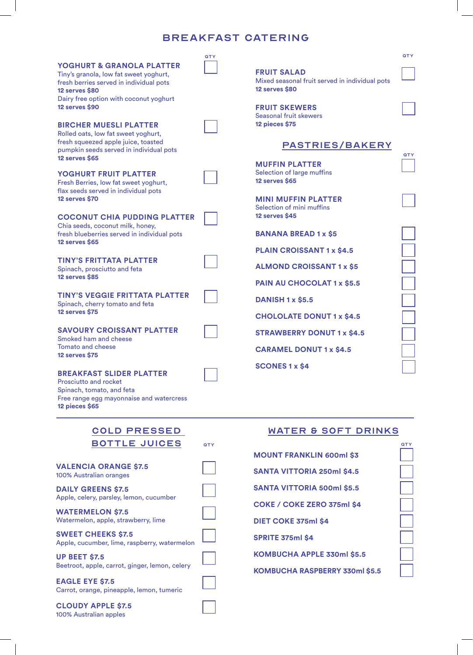# BREAKFAST CATERING

| <b>YOGHURT &amp; GRANOLA PLATTER</b><br>Tiny's granola, low fat sweet yoghurt,<br>fresh berries served in individual pots<br>12 serves \$80<br>Dairy free option with coconut yoghurt<br><b>12 serves \$90</b><br><b>BIRCHER MUESLI PLATTER</b><br>Rolled oats, low fat sweet yoghurt,<br>fresh squeezed apple juice, toasted<br>pumpkin seeds served in individual pots<br><b>12 serves \$65</b>                                                                                                                                                                                 | QTY | <b>FRUIT SALAD</b><br>Mixed seasonal fruit served in individual pots<br>12 serves \$80<br><b>FRUIT SKEWERS</b><br>Seasonal fruit skewers<br><b>12 pieces \$75</b><br><b>PASTRIES/BAKERY</b>                                                                                                     | QTY<br>QTY |
|-----------------------------------------------------------------------------------------------------------------------------------------------------------------------------------------------------------------------------------------------------------------------------------------------------------------------------------------------------------------------------------------------------------------------------------------------------------------------------------------------------------------------------------------------------------------------------------|-----|-------------------------------------------------------------------------------------------------------------------------------------------------------------------------------------------------------------------------------------------------------------------------------------------------|------------|
| YOGHURT FRUIT PLATTER<br>Fresh Berries, low fat sweet yoghurt,<br>flax seeds served in individual pots<br><b>12 serves \$70</b><br><b>COCONUT CHIA PUDDING PLATTER</b>                                                                                                                                                                                                                                                                                                                                                                                                            |     | <b>MUFFIN PLATTER</b><br>Selection of large muffins<br><b>12 serves \$65</b><br><b>MINI MUFFIN PLATTER</b><br>Selection of mini muffins<br>12 serves \$45                                                                                                                                       |            |
| Chia seeds, coconut milk, honey,<br>fresh blueberries served in individual pots<br><b>12 serves \$65</b><br><b>TINY'S FRITTATA PLATTER</b><br>Spinach, prosciutto and feta<br><b>12 serves \$85</b><br><b>TINY'S VEGGIE FRITTATA PLATTER</b><br>Spinach, cherry tomato and feta<br><b>12 serves \$75</b><br><b>SAVOURY CROISSANT PLATTER</b><br>Smoked ham and cheese<br><b>Tomato and cheese</b><br><b>12 serves \$75</b><br><b>BREAKFAST SLIDER PLATTER</b><br>Prosciutto and rocket<br>Spinach, tomato, and feta<br>Free range egg mayonnaise and watercress<br>12 pieces \$65 |     | <b>BANANA BREAD 1 x \$5</b><br><b>PLAIN CROISSANT 1 x \$4.5</b><br><b>ALMOND CROISSANT 1 x \$5</b><br>PAIN AU CHOCOLAT 1 x \$5.5<br><b>DANISH 1 x \$5.5</b><br><b>CHOLOLATE DONUT 1 x \$4.5</b><br><b>STRAWBERRY DONUT 1 x \$4.5</b><br><b>CARAMEL DONUT 1 x \$4.5</b><br><b>SCONES 1 x \$4</b> |            |
| <b>COLD PRESSED</b><br><b>BOTTLE JUICES</b><br><b>VALENCIA ORANGE \$7.5</b><br>100% Australian oranges<br><b>DAILY GREENS \$7.5</b><br>Apple, celery, parsley, lemon, cucumber<br><b>WATERMELON \$7.5</b>                                                                                                                                                                                                                                                                                                                                                                         | QTY | <b>WATER &amp; SOFT DRINKS</b><br><b>MOUNT FRANKLIN 600ml \$3</b><br><b>SANTA VITTORIA 250ml \$4.5</b><br><b>SANTA VITTORIA 500ml \$5.5</b><br>COKE / COKE ZERO 375ml \$4                                                                                                                       | QTY        |
| Watermelon, apple, strawberry, lime<br><b>SWEET CHEEKS \$7.5</b><br>Apple, cucumber, lime, raspberry, watermelon                                                                                                                                                                                                                                                                                                                                                                                                                                                                  |     | DIET COKE 375ml \$4<br><b>SPRITE 375ml \$4</b>                                                                                                                                                                                                                                                  |            |

**KOMBUCHA APPLE 330ml \$5.5**

**KOMBUCHA RASPBERRY 330ml \$5.5**

**UP BEET \$7.5** Beetroot, apple, carrot, ginger, lemon, celery

**EAGLE EYE \$7.5** Carrot, orange, pineapple, lemon, tumeric

**CLOUDY APPLE \$7.5** 100% Australian apples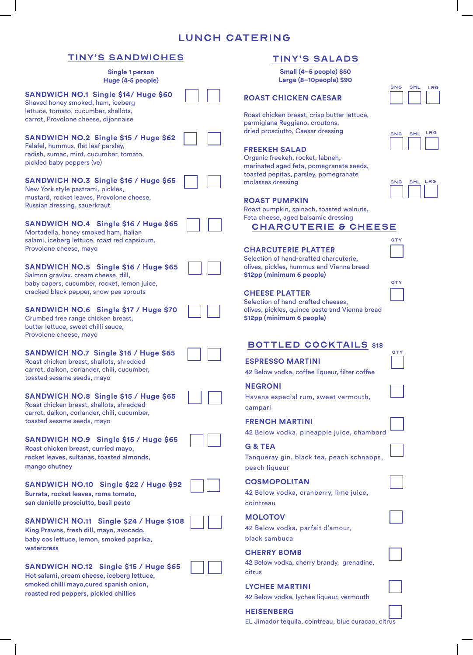# LUNCH CATERING

# TINY'S SANDWICHES

|                                                                                                                                                                                                                                                 | ________                                                                                                                                                                                        |
|-------------------------------------------------------------------------------------------------------------------------------------------------------------------------------------------------------------------------------------------------|-------------------------------------------------------------------------------------------------------------------------------------------------------------------------------------------------|
| Single 1 person<br>Huge (4-5 people)                                                                                                                                                                                                            | Small (4-5 people) \$50<br>Large (8-10people) \$90                                                                                                                                              |
| SANDWICH NO.1 Single \$14/ Huge \$60<br>Shaved honey smoked, ham, iceberg<br>lettuce, tomato, cucumber, shallots,<br>carrot, Provolone cheese, dijonnaise                                                                                       | <b>ROAST CHICKEN CAESAR</b><br>Roast chicken breast, crisp butter lettuce,<br>parmigiana Reggiano, croutons,                                                                                    |
| SANDWICH NO.2 Single \$15 / Huge \$62<br>Falafel, hummus, flat leaf parsley,<br>radish, sumac, mint, cucumber, tomato,<br>pickled baby peppers (ve)<br>SANDWICH NO.3 Single \$16 / Huge \$65                                                    | dried prosciutto, Caesar dressing<br>FREEKEH SALAD<br>Organic freekeh, rocket, labneh,<br>marinated aged feta, pomegranate seeds,<br>toasted pepitas, parsley, pomegranate<br>molasses dressing |
| New York style pastrami, pickles,<br>mustard, rocket leaves, Provolone cheese,<br>Russian dressing, sauerkraut<br>SANDWICH NO.4 Single \$16 / Huge \$65<br>Mortadella, honey smoked ham, Italian                                                | <b>ROAST PUMPKIN</b><br>Roast pumpkin, spinach, toasted walnuts,<br>Feta cheese, aged balsamic dressing<br><b>CHARCUTERIE &amp; CHEI</b>                                                        |
| salami, iceberg lettuce, roast red capsicum,<br>Provolone cheese, mayo<br>SANDWICH NO.5 Single \$16 / Huge \$65<br>Salmon gravlax, cream cheese, dill,<br>baby capers, cucumber, rocket, lemon juice,<br>cracked black pepper, snow pea sprouts | <b>CHARCUTERIE PLATTER</b><br>Selection of hand-crafted charcuterie,<br>olives, pickles, hummus and Vienna bread<br>\$12pp (minimum 6 people)<br><b>CHEESE PLATTER</b>                          |
| SANDWICH NO.6 Single \$17 / Huge \$70<br>Crumbed free range chicken breast,<br>butter lettuce, sweet chilli sauce,<br>Provolone cheese, mayo                                                                                                    | Selection of hand-crafted cheeses,<br>olives, pickles, quince paste and Vienna bre<br>\$12pp (minimum 6 people)                                                                                 |
| SANDWICH NO.7 Single \$16 / Huge \$65<br>Roast chicken breast, shallots, shredded<br>carrot, daikon, coriander, chili, cucumber,<br>toasted sesame seeds, mayo                                                                                  | <b>BOTTLED COCKTAILS \$</b><br><b>ESPRESSO MARTINI</b><br>42 Below vodka, coffee liqueur, filter coffee<br><b>NEGRONI</b>                                                                       |
| SANDWICH NO.8 Single \$15 / Huge \$65<br>Roast chicken breast, shallots, shredded<br>carrot, daikon, coriander, chili, cucumber,<br>toasted sesame seeds, mayo                                                                                  | Havana especial rum, sweet vermouth,<br>campari<br><b>FRENCH MARTINI</b>                                                                                                                        |
| SANDWICH NO.9 Single \$15 / Huge \$65<br>Roast chicken breast, curried mayo,<br>rocket leaves, sultanas, toasted almonds,<br>mango chutney                                                                                                      | 42 Below vodka, pineapple juice, chamb<br><b>G &amp; TEA</b><br>Tanqueray gin, black tea, peach schnapp<br>peach liqueur                                                                        |
| SANDWICH NO.10 Single \$22 / Huge \$92<br>Burrata, rocket leaves, roma tomato,<br>san danielle prosciutto, basil pesto                                                                                                                          | <b>COSMOPOLITAN</b><br>42 Below vodka, cranberry, lime juice,<br>cointreau                                                                                                                      |
| SANDWICH NO.11 Single \$24 / Huge \$108<br>King Prawns, fresh dill, mayo, avocado,<br>baby cos lettuce, lemon, smoked paprika,                                                                                                                  | <b>MOLOTOV</b><br>42 Below vodka, parfait d'amour,<br>black sambuca                                                                                                                             |
| watercress<br>SANDWICH NO.12 Single \$15 / Huge \$65<br>Hot salami, cream cheese, iceberg lettuce,                                                                                                                                              | <b>CHERRY BOMB</b><br>42 Below vodka, cherry brandy, grenadine,<br>citrus                                                                                                                       |
| smoked chilli mayo, cured spanish onion,                                                                                                                                                                                                        | <b>I YCHEE MARTINI</b>                                                                                                                                                                          |

roasted red peppers, pickled chillies

# TINY'S SALADS

## *<u>ST CHICKEN CAESAR</u>*

## **FREEKEH SALAD**

| <b>ROAST PUMPKIN</b> |  |
|----------------------|--|
|----------------------|--|

# HARCUTERIE & CHEESE

|  |  | <b>CHARCUTERIE PLATTER</b> |  |
|--|--|----------------------------|--|
|  |  |                            |  |

#### **ESE PLATTER**

tion of hand-crafted cheeses, s, pickles, quince paste and Vienna bread **\$12pp (minimum 6 people)**

|  |  |  |  |  | <b>BOTTLED COCKTAILS \$18</b> |
|--|--|--|--|--|-------------------------------|
|  |  |  |  |  |                               |

# **RESSO MARTINI**

**QTY** 

## **NCH MARTINI**

elow vodka, pineapple juice, chambord

# **G & TEA**

 $\mu$ ueray gin, black tea, peach schnapps, ch liqueur

#### **SMOPOLITAN**

#### **MOLOTOV**

## **ERRY BOMB**

# **LYCHEE MARTINI**

42 Below vodka, lychee liqueur, vermouth

#### **HEISENBERG**

EL Jimador tequila, cointreau, blue curacao, citrus

| SML | LRG |
|-----|-----|
|     |     |
|     |     |

| <b>SNG</b> | <b>SML</b> | LRG |
|------------|------------|-----|
|            |            |     |

| SNG | <b>SML</b> | LRG |
|-----|------------|-----|
|     |            |     |



**QTY**